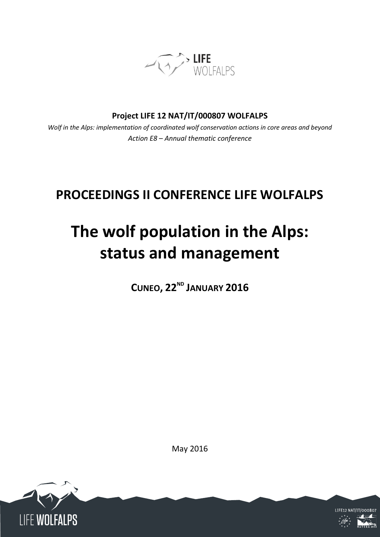

**Project LIFE 12 NAT/IT/000807 WOLFALPS**

*Wolf in the Alps: implementation of coordinated wolf conservation actions in core areas and beyond Action E8 – Annual thematic conference*

# **PROCEEDINGS II CONFERENCE LIFE WOLFALPS**

# **The wolf population in the Alps: status and management**

**CUNEO, 22ND JANUARY 2016**

May 2016

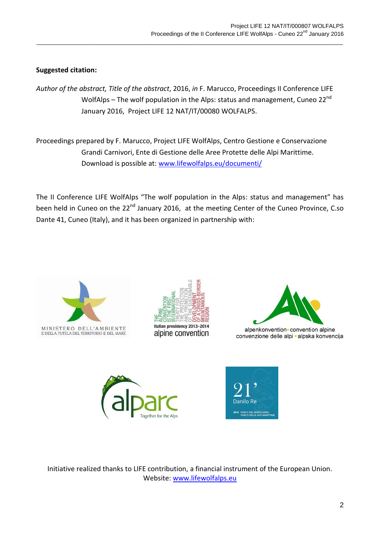### **Suggested citation:**

*Author of the abstract, Title of the abstract*, 2016, *in* F. Marucco, Proceedings II Conference LIFE WolfAlps – The wolf population in the Alps: status and management, Cuneo 22<sup>nd</sup> January 2016, Project LIFE 12 NAT/IT/00080 WOLFALPS.

 $\_$  ,  $\_$  ,  $\_$  ,  $\_$  ,  $\_$  ,  $\_$  ,  $\_$  ,  $\_$  ,  $\_$  ,  $\_$  ,  $\_$  ,  $\_$  ,  $\_$  ,  $\_$  ,  $\_$  ,  $\_$  ,  $\_$  ,  $\_$  ,  $\_$  ,  $\_$  ,  $\_$  ,  $\_$  ,  $\_$  ,  $\_$  ,  $\_$  ,  $\_$  ,  $\_$  ,  $\_$  ,  $\_$  ,  $\_$  ,  $\_$  ,  $\_$  ,  $\_$  ,  $\_$  ,  $\_$  ,  $\_$  ,  $\_$  ,

Proceedings prepared by F. Marucco, Project LIFE WolfAlps, Centro Gestione e Conservazione Grandi Carnivori, Ente di Gestione delle Aree Protette delle Alpi Marittime. Download is possible at: [www.lifewolfalps.eu/documenti/](http://www.lifewolfalps.eu/documenti/)

The II Conference LIFE WolfAlps "The wolf population in the Alps: status and management" has been held in Cuneo on the 22<sup>nd</sup> January 2016, at the meeting Center of the Cuneo Province, C.so Dante 41, Cuneo (Italy), and it has been organized in partnership with:







alpenkonvention convention alpine convenzione delle alpi · alpska konvencija





Initiative realized thanks to LIFE contribution, a financial instrument of the European Union. Website: www.lifewolfalps.eu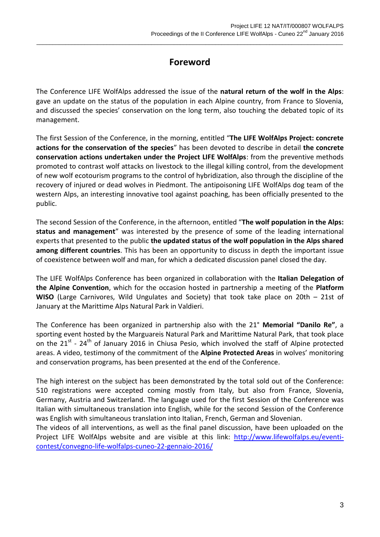# **Foreword**

 $\_$  ,  $\_$  ,  $\_$  ,  $\_$  ,  $\_$  ,  $\_$  ,  $\_$  ,  $\_$  ,  $\_$  ,  $\_$  ,  $\_$  ,  $\_$  ,  $\_$  ,  $\_$  ,  $\_$  ,  $\_$  ,  $\_$  ,  $\_$  ,  $\_$  ,  $\_$  ,  $\_$  ,  $\_$  ,  $\_$  ,  $\_$  ,  $\_$  ,  $\_$  ,  $\_$  ,  $\_$  ,  $\_$  ,  $\_$  ,  $\_$  ,  $\_$  ,  $\_$  ,  $\_$  ,  $\_$  ,  $\_$  ,  $\_$  ,

The Conference LIFE WolfAlps addressed the issue of the **natural return of the wolf in the Alps**: gave an update on the status of the population in each Alpine country, from France to Slovenia, and discussed the species' conservation on the long term, also touching the debated topic of its management.

The first Session of the Conference, in the morning, entitled "**The LIFE WolfAlps Project: concrete actions for the conservation of the species**" has been devoted to describe in detail **the concrete conservation actions undertaken under the Project LIFE WolfAlps**: from the preventive methods promoted to contrast wolf attacks on livestock to the illegal killing control, from the development of new wolf ecotourism programs to the control of hybridization, also through the discipline of the recovery of injured or dead wolves in Piedmont. The antipoisoning LIFE WolfAlps dog team of the western Alps, an interesting innovative tool against poaching, has been officially presented to the public.

The second Session of the Conference, in the afternoon, entitled "**The wolf population in the Alps: status and management**" was interested by the presence of some of the leading international experts that presented to the public **the updated status of the wolf population in the Alps shared among different countries**. This has been an opportunity to discuss in depth the important issue of coexistence between wolf and man, for which a dedicated discussion panel closed the day.

The LIFE WolfAlps Conference has been organized in collaboration with the **Italian Delegation of the Alpine Convention**, which for the occasion hosted in partnership a meeting of the **Platform WISO** (Large Carnivores, Wild Ungulates and Society) that took take place on 20th – 21st of January at the Marittime Alps Natural Park in Valdieri.

The Conference has been organized in partnership also with the 21° **Memorial "Danilo Re"**, a sporting event hosted by the Marguareis Natural Park and Marittime Natural Park, that took place on the  $21^{st}$  -  $24^{th}$  of January 2016 in Chiusa Pesio, which involved the staff of Alpine protected areas. A video, testimony of the commitment of the **Alpine Protected Areas** in wolves' monitoring and conservation programs, has been presented at the end of the Conference.

The high interest on the subject has been demonstrated by the total sold out of the Conference: 510 registrations were accepted coming mostly from Italy, but also from France, Slovenia, Germany, Austria and Switzerland. The language used for the first Session of the Conference was Italian with simultaneous translation into English, while for the second Session of the Conference was English with simultaneous translation into Italian, French, German and Slovenian.

The videos of all interventions, as well as the final panel discussion, have been uploaded on the Project LIFE WolfAlps website and are visible at this link: [http://www.lifewolfalps.eu/eventi](http://www.lifewolfalps.eu/eventi-contest/convegno-life-wolfalps-cuneo-22-gennaio-2016/)[contest/convegno-life-wolfalps-cuneo-22-gennaio-2016/](http://www.lifewolfalps.eu/eventi-contest/convegno-life-wolfalps-cuneo-22-gennaio-2016/)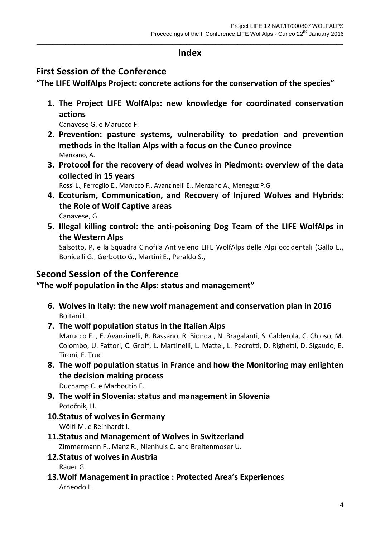### $\_$  ,  $\_$  ,  $\_$  ,  $\_$  ,  $\_$  ,  $\_$  ,  $\_$  ,  $\_$  ,  $\_$  ,  $\_$  ,  $\_$  ,  $\_$  ,  $\_$  ,  $\_$  ,  $\_$  ,  $\_$  ,  $\_$  ,  $\_$  ,  $\_$  ,  $\_$  ,  $\_$  ,  $\_$  ,  $\_$  ,  $\_$  ,  $\_$  ,  $\_$  ,  $\_$  ,  $\_$  ,  $\_$  ,  $\_$  ,  $\_$  ,  $\_$  ,  $\_$  ,  $\_$  ,  $\_$  ,  $\_$  ,  $\_$  , **Index**

# **First Session of the Conference**

**"The LIFE WolfAlps Project: concrete actions for the conservation of the species"**

**1. The Project LIFE WolfAlps: new knowledge for coordinated conservation actions**

Canavese G. e Marucco F.

- **2. Prevention: pasture systems, vulnerability to predation and prevention methods in the Italian Alps with a focus on the Cuneo province** Menzano, A.
- **3. Protocol for the recovery of dead wolves in Piedmont: overview of the data collected in 15 years**

Rossi L., Ferroglio E., Marucco F., Avanzinelli E., Menzano A., Meneguz P.G.

- **4. Ecoturism, Communication, and Recovery of Injured Wolves and Hybrids: the Role of Wolf Captive areas** Canavese, G.
- **5. Illegal killing control: the anti-poisoning Dog Team of the LIFE WolfAlps in the Western Alps**

Salsotto, P. e la Squadra Cinofila Antiveleno LIFE WolfAlps delle Alpi occidentali (Gallo E., Bonicelli G., Gerbotto G., Martini E., Peraldo S.*)*

# **Second Session of the Conference**

**"The wolf population in the Alps: status and management"**

- **6. Wolves in Italy: the new wolf management and conservation plan in 2016** Boitani L.
- **7. The wolf population status in the Italian Alps** Marucco F. , E. Avanzinelli, B. Bassano, R. Bionda , N. Bragalanti, S. Calderola, C. Chioso, M. Colombo, U. Fattori, C. Groff, L. Martinelli, L. Mattei, L. Pedrotti, D. Righetti, D. Sigaudo, E. Tironi, F. Truc
- **8. The wolf population status in France and how the Monitoring may enlighten the decision making process** Duchamp C. e Marboutin E.

**9. The wolf in Slovenia: status and management in Slovenia**

Potočnik, H.

**10.Status of wolves in Germany**

Wölfl M. e Reinhardt I.

- **11.Status and Management of Wolves in Switzerland** Zimmermann F., Manz R., Nienhuis C. and Breitenmoser U.
- **12.Status of wolves in Austria**

Rauer G.

**13.Wolf Management in practice : Protected Area's Experiences** Arneodo L.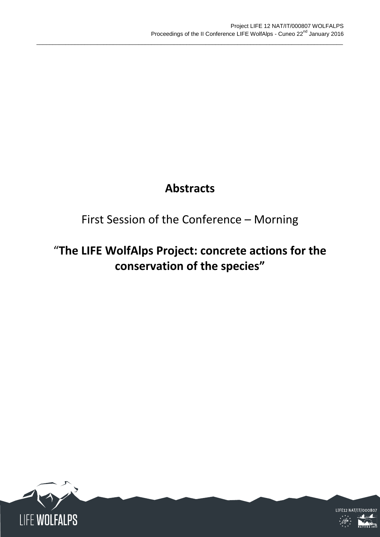# **Abstracts**

 $\_$  ,  $\_$  ,  $\_$  ,  $\_$  ,  $\_$  ,  $\_$  ,  $\_$  ,  $\_$  ,  $\_$  ,  $\_$  ,  $\_$  ,  $\_$  ,  $\_$  ,  $\_$  ,  $\_$  ,  $\_$  ,  $\_$  ,  $\_$  ,  $\_$  ,  $\_$  ,  $\_$  ,  $\_$  ,  $\_$  ,  $\_$  ,  $\_$  ,  $\_$  ,  $\_$  ,  $\_$  ,  $\_$  ,  $\_$  ,  $\_$  ,  $\_$  ,  $\_$  ,  $\_$  ,  $\_$  ,  $\_$  ,  $\_$  ,

# First Session of the Conference – Morning

# "**The LIFE WolfAlps Project: concrete actions for the conservation of the species"**



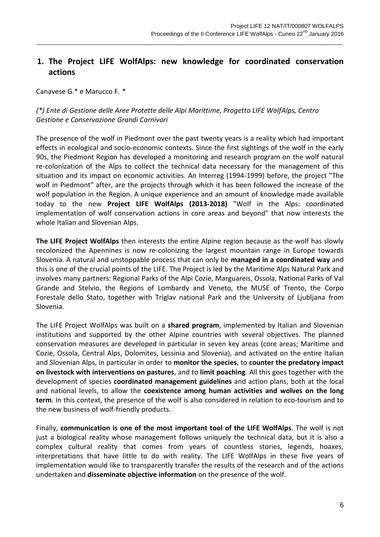# **1. The Project LIFE WolfAlps: new knowledge for coordinated conservation actions**

 $\_$  ,  $\_$  ,  $\_$  ,  $\_$  ,  $\_$  ,  $\_$  ,  $\_$  ,  $\_$  ,  $\_$  ,  $\_$  ,  $\_$  ,  $\_$  ,  $\_$  ,  $\_$  ,  $\_$  ,  $\_$  ,  $\_$  ,  $\_$  ,  $\_$  ,  $\_$  ,  $\_$  ,  $\_$  ,  $\_$  ,  $\_$  ,  $\_$  ,  $\_$  ,  $\_$  ,  $\_$  ,  $\_$  ,  $\_$  ,  $\_$  ,  $\_$  ,  $\_$  ,  $\_$  ,  $\_$  ,  $\_$  ,  $\_$  ,

Canavese G.\* e Marucco F. *\**

### *(\*) Ente di Gestione delle Aree Protette delle Alpi Marittime, Progetto LIFE WolfAlps, Centro Gestione e Conservazione Grandi Carnivori*

The presence of the wolf in Piedmont over the past twenty years is a reality which had important effects in ecological and socio-economic contexts. Since the first sightings of the wolf in the early 90s, the Piedmont Region has developed a monitoring and research program on the wolf natural re-colonization of the Alps to collect the technical data necessary for the management of this situation and its impact on economic activities. An Interreg (1994-1999) before, the project "The wolf in Piedmont" after, are the projects through which it has been followed the increase of the wolf population in the Region. A unique experience and an amount of knowledge made available today to the new **Project LIFE WolfAlps (2013-2018)** "Wolf in the Alps: coordinated implementation of wolf conservation actions in core areas and beyond" that now interests the whole Italian and Slovenian Alps.

**The LIFE Project WolfAlps** then interests the entire Alpine region because as the wolf has slowly recolonized the Apennines is now re-colonizing the largest mountain range in Europe towards Slovenia. A natural and unstoppable process that can only be **managed in a coordinated way** and this is one of the crucial points of the LIFE. The Project is led by the Maritime Alps Natural Park and involves many partners: Regional Parks of the Alpi Cozie, Marguareis, Ossola, National Parks of Val Grande and Stelvio, the Regions of Lombardy and Veneto, the MUSE of Trento, the Corpo Forestale dello Stato, together with Triglav national Park and the University of Ljubljana from Slovenia.

The LIFE Project WolfAlps was built on a **shared program**, implemented by Italian and Slovenian institutions and supported by the other Alpine countries with several objectives. The planned conservation measures are developed in particular in seven key areas (core areas; Maritime and Cozie, Ossola, Central Alps, Dolomites, Lessinia and Slovenia), and activated on the entire Italian and Slovenian Alps, in particular in order to **monitor the species**, to **counter the predatory impact on livestock with interventions on pastures**, and to **limit poaching**. All this goes together with the development of species **coordinated management guidelines** and action plans, both at the local and national levels, to allow the **coexistence among human activities and wolves on the long term**. In this context, the presence of the wolf is also considered in relation to eco-tourism and to the new business of wolf-friendly products.

Finally, **communication is one of the most important tool of the LIFE WolfAlps**. The wolf is not just a biological reality whose management follows uniquely the technical data, but it is also a complex cultural reality that comes from years of countless stories, legends, hoaxes, interpretations that have little to do with reality. The LIFE WolfAlps in these five years of implementation would like to transparently transfer the results of the research and of the actions undertaken and **disseminate objective information** on the presence of the wolf.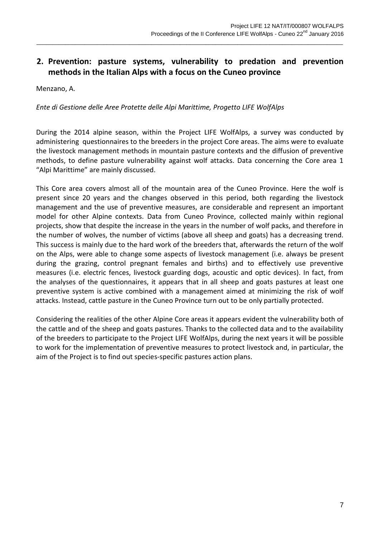## **2. Prevention: pasture systems, vulnerability to predation and prevention methods in the Italian Alps with a focus on the Cuneo province**

 $\_$  ,  $\_$  ,  $\_$  ,  $\_$  ,  $\_$  ,  $\_$  ,  $\_$  ,  $\_$  ,  $\_$  ,  $\_$  ,  $\_$  ,  $\_$  ,  $\_$  ,  $\_$  ,  $\_$  ,  $\_$  ,  $\_$  ,  $\_$  ,  $\_$  ,  $\_$  ,  $\_$  ,  $\_$  ,  $\_$  ,  $\_$  ,  $\_$  ,  $\_$  ,  $\_$  ,  $\_$  ,  $\_$  ,  $\_$  ,  $\_$  ,  $\_$  ,  $\_$  ,  $\_$  ,  $\_$  ,  $\_$  ,  $\_$  ,

Menzano, A.

#### *Ente di Gestione delle Aree Protette delle Alpi Marittime, Progetto LIFE WolfAlps*

During the 2014 alpine season, within the Project LIFE WolfAlps, a survey was conducted by administering questionnaires to the breeders in the project Core areas. The aims were to evaluate the livestock management methods in mountain pasture contexts and the diffusion of preventive methods, to define pasture vulnerability against wolf attacks. Data concerning the Core area 1 "Alpi Marittime" are mainly discussed.

This Core area covers almost all of the mountain area of the Cuneo Province. Here the wolf is present since 20 years and the changes observed in this period, both regarding the livestock management and the use of preventive measures, are considerable and represent an important model for other Alpine contexts. Data from Cuneo Province, collected mainly within regional projects, show that despite the increase in the years in the number of wolf packs, and therefore in the number of wolves, the number of victims (above all sheep and goats) has a decreasing trend. This success is mainly due to the hard work of the breeders that, afterwards the return of the wolf on the Alps, were able to change some aspects of livestock management (i.e. always be present during the grazing, control pregnant females and births) and to effectively use preventive measures (i.e. electric fences, livestock guarding dogs, acoustic and optic devices). In fact, from the analyses of the questionnaires, it appears that in all sheep and goats pastures at least one preventive system is active combined with a management aimed at minimizing the risk of wolf attacks. Instead, cattle pasture in the Cuneo Province turn out to be only partially protected.

Considering the realities of the other Alpine Core areas it appears evident the vulnerability both of the cattle and of the sheep and goats pastures. Thanks to the collected data and to the availability of the breeders to participate to the Project LIFE WolfAlps, during the next years it will be possible to work for the implementation of preventive measures to protect livestock and, in particular, the aim of the Project is to find out species-specific pastures action plans.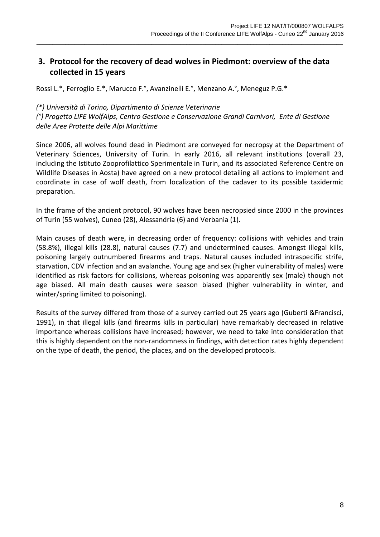## **3. Protocol for the recovery of dead wolves in Piedmont: overview of the data collected in 15 years**

 $\_$  ,  $\_$  ,  $\_$  ,  $\_$  ,  $\_$  ,  $\_$  ,  $\_$  ,  $\_$  ,  $\_$  ,  $\_$  ,  $\_$  ,  $\_$  ,  $\_$  ,  $\_$  ,  $\_$  ,  $\_$  ,  $\_$  ,  $\_$  ,  $\_$  ,  $\_$  ,  $\_$  ,  $\_$  ,  $\_$  ,  $\_$  ,  $\_$  ,  $\_$  ,  $\_$  ,  $\_$  ,  $\_$  ,  $\_$  ,  $\_$  ,  $\_$  ,  $\_$  ,  $\_$  ,  $\_$  ,  $\_$  ,  $\_$  ,

Rossi L.\*, Ferroglio E.\*, Marucco F.°, Avanzinelli E.°, Menzano A.°, Meneguz P.G.\*

#### *(\*) Università di Torino, Dipartimento di Scienze Veterinarie*

*(°) Progetto LIFE WolfAlps, Centro Gestione e Conservazione Grandi Carnivori, Ente di Gestione delle Aree Protette delle Alpi Marittime*

Since 2006, all wolves found dead in Piedmont are conveyed for necropsy at the Department of Veterinary Sciences, University of Turin. In early 2016, all relevant institutions (overall 23, including the Istituto Zooprofilattico Sperimentale in Turin, and its associated Reference Centre on Wildlife Diseases in Aosta) have agreed on a new protocol detailing all actions to implement and coordinate in case of wolf death, from localization of the cadaver to its possible taxidermic preparation.

In the frame of the ancient protocol, 90 wolves have been necropsied since 2000 in the provinces of Turin (55 wolves), Cuneo (28), Alessandria (6) and Verbania (1).

Main causes of death were, in decreasing order of frequency: collisions with vehicles and train (58.8%), illegal kills (28.8), natural causes (7.7) and undetermined causes. Amongst illegal kills, poisoning largely outnumbered firearms and traps. Natural causes included intraspecific strife, starvation, CDV infection and an avalanche. Young age and sex (higher vulnerability of males) were identified as risk factors for collisions, whereas poisoning was apparently sex (male) though not age biased. All main death causes were season biased (higher vulnerability in winter, and winter/spring limited to poisoning).

Results of the survey differed from those of a survey carried out 25 years ago (Guberti &Francisci, 1991), in that illegal kills (and firearms kills in particular) have remarkably decreased in relative importance whereas collisions have increased; however, we need to take into consideration that this is highly dependent on the non-randomness in findings, with detection rates highly dependent on the type of death, the period, the places, and on the developed protocols.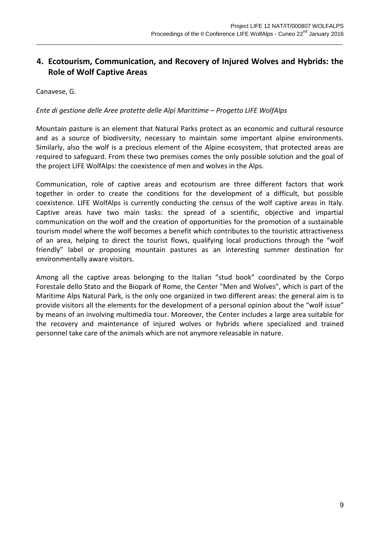# **4. Ecotourism, Communication, and Recovery of Injured Wolves and Hybrids: the Role of Wolf Captive Areas**

 $\_$  ,  $\_$  ,  $\_$  ,  $\_$  ,  $\_$  ,  $\_$  ,  $\_$  ,  $\_$  ,  $\_$  ,  $\_$  ,  $\_$  ,  $\_$  ,  $\_$  ,  $\_$  ,  $\_$  ,  $\_$  ,  $\_$  ,  $\_$  ,  $\_$  ,  $\_$  ,  $\_$  ,  $\_$  ,  $\_$  ,  $\_$  ,  $\_$  ,  $\_$  ,  $\_$  ,  $\_$  ,  $\_$  ,  $\_$  ,  $\_$  ,  $\_$  ,  $\_$  ,  $\_$  ,  $\_$  ,  $\_$  ,  $\_$  ,

#### Canavese, G.

#### *Ente di gestione delle Aree protette delle Alpi Marittime – Progetto LIFE WolfAlps*

Mountain pasture is an element that Natural Parks protect as an economic and cultural resource and as a source of biodiversity, necessary to maintain some important alpine environments. Similarly, also the wolf is a precious element of the Alpine ecosystem, that protected areas are required to safeguard. From these two premises comes the only possible solution and the goal of the project LIFE WolfAlps: the coexistence of men and wolves in the Alps.

Communication, role of captive areas and ecotourism are three different factors that work together in order to create the conditions for the development of a difficult, but possible coexistence. LIFE WolfAlps is currently conducting the census of the wolf captive areas in Italy. Captive areas have two main tasks: the spread of a scientific, objective and impartial communication on the wolf and the creation of opportunities for the promotion of a sustainable tourism model where the wolf becomes a benefit which contributes to the touristic attractiveness of an area, helping to direct the tourist flows, qualifying local productions through the "wolf friendly" label or proposing mountain pastures as an interesting summer destination for environmentally aware visitors.

Among all the captive areas belonging to the Italian "stud book" coordinated by the Corpo Forestale dello Stato and the Biopark of Rome, the Center "Men and Wolves", which is part of the Maritime Alps Natural Park, is the only one organized in two different areas: the general aim is to provide visitors all the elements for the development of a personal opinion about the "wolf issue" by means of an involving multimedia tour. Moreover, the Center includes a large area suitable for the recovery and maintenance of injured wolves or hybrids where specialized and trained personnel take care of the animals which are not anymore releasable in nature.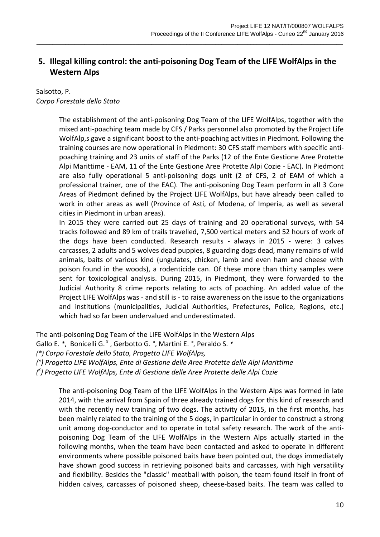# **5. Illegal killing control: the anti-poisoning Dog Team of the LIFE WolfAlps in the Western Alps**

 $\_$  ,  $\_$  ,  $\_$  ,  $\_$  ,  $\_$  ,  $\_$  ,  $\_$  ,  $\_$  ,  $\_$  ,  $\_$  ,  $\_$  ,  $\_$  ,  $\_$  ,  $\_$  ,  $\_$  ,  $\_$  ,  $\_$  ,  $\_$  ,  $\_$  ,  $\_$  ,  $\_$  ,  $\_$  ,  $\_$  ,  $\_$  ,  $\_$  ,  $\_$  ,  $\_$  ,  $\_$  ,  $\_$  ,  $\_$  ,  $\_$  ,  $\_$  ,  $\_$  ,  $\_$  ,  $\_$  ,  $\_$  ,  $\_$  ,

### Salsotto, P. *Corpo Forestale dello Stato*

The establishment of the anti-poisoning Dog Team of the LIFE WolfAlps, together with the mixed anti-poaching team made by CFS / Parks personnel also promoted by the Project Life WolfAlp,s gave a significant boost to the anti-poaching activities in Piedmont. Following the training courses are now operational in Piedmont: 30 CFS staff members with specific antipoaching training and 23 units of staff of the Parks (12 of the Ente Gestione Aree Protette Alpi Marittime - EAM, 11 of the Ente Gestione Aree Protette Alpi Cozie - EAC). In Piedmont are also fully operational 5 anti-poisoning dogs unit (2 of CFS, 2 of EAM of which a professional trainer, one of the EAC). The anti-poisoning Dog Team perform in all 3 Core Areas of Piedmont defined by the Project LIFE WolfAlps, but have already been called to work in other areas as well (Province of Asti, of Modena, of Imperia, as well as several cities in Piedmont in urban areas).

In 2015 they were carried out 25 days of training and 20 operational surveys, with 54 tracks followed and 89 km of trails travelled, 7,500 vertical meters and 52 hours of work of the dogs have been conducted. Research results - always in 2015 - were: 3 calves carcasses, 2 adults and 5 wolves dead puppies, 8 guarding dogs dead, many remains of wild animals, baits of various kind (ungulates, chicken, lamb and even ham and cheese with poison found in the woods), a rodenticide can. Of these more than thirty samples were sent for toxicological analysis. During 2015, in Piedmont, they were forwarded to the Judicial Authority 8 crime reports relating to acts of poaching. An added value of the Project LIFE WolfAlps was - and still is - to raise awareness on the issue to the organizations and institutions (municipalities, Judicial Authorities, Prefectures, Police, Regions, etc.) which had so far been undervalued and underestimated.

The anti-poisoning Dog Team of the LIFE WolfAlps in the Western Alps

Gallo E. *\**, Bonicelli G. *<sup>x</sup>* , Gerbotto G. *°*, Martini E. *°*, Peraldo S. *\**

*(\*) Corpo Forestale dello Stato, Progetto LIFE WolfAlps,*

*(°) Progetto LIFE WolfAlps, Ente di Gestione delle Aree Protette delle Alpi Marittime*

*( x ) Progetto LIFE WolfAlps, Ente di Gestione delle Aree Protette delle Alpi Cozie*

The anti-poisoning Dog Team of the LIFE WolfAlps in the Western Alps was formed in late 2014, with the arrival from Spain of three already trained dogs for this kind of research and with the recently new training of two dogs. The activity of 2015, in the first months, has been mainly related to the training of the 5 dogs, in particular in order to construct a strong unit among dog-conductor and to operate in total safety research. The work of the antipoisoning Dog Team of the LIFE WolfAlps in the Western Alps actually started in the following months, when the team have been contacted and asked to operate in different environments where possible poisoned baits have been pointed out, the dogs immediately have shown good success in retrieving poisoned baits and carcasses, with high versatility and flexibility. Besides the "classic" meatball with poison, the team found itself in front of hidden calves, carcasses of poisoned sheep, cheese-based baits. The team was called to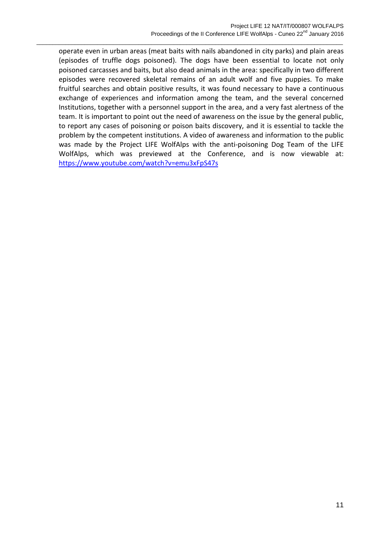operate even in urban areas (meat baits with nails abandoned in city parks) and plain areas (episodes of truffle dogs poisoned). The dogs have been essential to locate not only poisoned carcasses and baits, but also dead animals in the area: specifically in two different episodes were recovered skeletal remains of an adult wolf and five puppies. To make fruitful searches and obtain positive results, it was found necessary to have a continuous exchange of experiences and information among the team, and the several concerned Institutions, together with a personnel support in the area, and a very fast alertness of the team. It is important to point out the need of awareness on the issue by the general public, to report any cases of poisoning or poison baits discovery, and it is essential to tackle the problem by the competent institutions. A video of awareness and information to the public was made by the Project LIFE WolfAlps with the anti-poisoning Dog Team of the LIFE WolfAlps, which was previewed at the Conference, and is now viewable at: <https://www.youtube.com/watch?v=emu3xFpS47s>

 $\_$  ,  $\_$  ,  $\_$  ,  $\_$  ,  $\_$  ,  $\_$  ,  $\_$  ,  $\_$  ,  $\_$  ,  $\_$  ,  $\_$  ,  $\_$  ,  $\_$  ,  $\_$  ,  $\_$  ,  $\_$  ,  $\_$  ,  $\_$  ,  $\_$  ,  $\_$  ,  $\_$  ,  $\_$  ,  $\_$  ,  $\_$  ,  $\_$  ,  $\_$  ,  $\_$  ,  $\_$  ,  $\_$  ,  $\_$  ,  $\_$  ,  $\_$  ,  $\_$  ,  $\_$  ,  $\_$  ,  $\_$  ,  $\_$  ,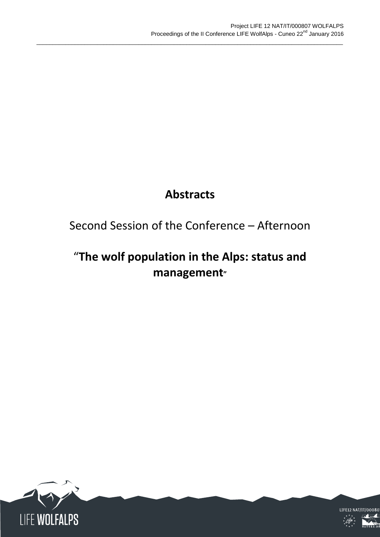# **Abstracts**

 $\_$  ,  $\_$  ,  $\_$  ,  $\_$  ,  $\_$  ,  $\_$  ,  $\_$  ,  $\_$  ,  $\_$  ,  $\_$  ,  $\_$  ,  $\_$  ,  $\_$  ,  $\_$  ,  $\_$  ,  $\_$  ,  $\_$  ,  $\_$  ,  $\_$  ,  $\_$  ,  $\_$  ,  $\_$  ,  $\_$  ,  $\_$  ,  $\_$  ,  $\_$  ,  $\_$  ,  $\_$  ,  $\_$  ,  $\_$  ,  $\_$  ,  $\_$  ,  $\_$  ,  $\_$  ,  $\_$  ,  $\_$  ,  $\_$  ,

# Second Session of the Conference – Afternoon

# "**The wolf population in the Alps: status and management"**



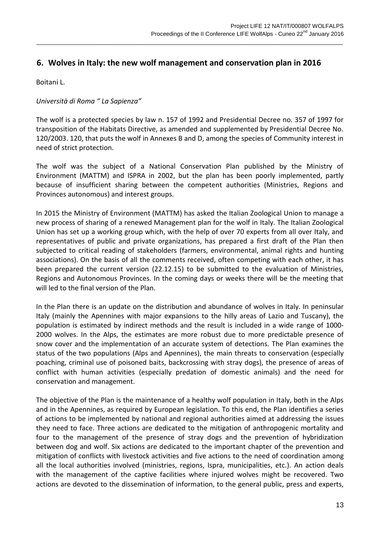### **6. Wolves in Italy: the new wolf management and conservation plan in 2016**

 $\_$  ,  $\_$  ,  $\_$  ,  $\_$  ,  $\_$  ,  $\_$  ,  $\_$  ,  $\_$  ,  $\_$  ,  $\_$  ,  $\_$  ,  $\_$  ,  $\_$  ,  $\_$  ,  $\_$  ,  $\_$  ,  $\_$  ,  $\_$  ,  $\_$  ,  $\_$  ,  $\_$  ,  $\_$  ,  $\_$  ,  $\_$  ,  $\_$  ,  $\_$  ,  $\_$  ,  $\_$  ,  $\_$  ,  $\_$  ,  $\_$  ,  $\_$  ,  $\_$  ,  $\_$  ,  $\_$  ,  $\_$  ,  $\_$  ,

Boitani L.

### *Università di Roma " La Sapienza"*

The wolf is a protected species by law n. 157 of 1992 and Presidential Decree no. 357 of 1997 for transposition of the Habitats Directive, as amended and supplemented by Presidential Decree No. 120/2003. 120, that puts the wolf in Annexes B and D, among the species of Community interest in need of strict protection.

The wolf was the subject of a National Conservation Plan published by the Ministry of Environment (MATTM) and ISPRA in 2002, but the plan has been poorly implemented, partly because of insufficient sharing between the competent authorities (Ministries, Regions and Provinces autonomous) and interest groups.

In 2015 the Ministry of Environment (MATTM) has asked the Italian Zoological Union to manage a new process of sharing of a renewed Management plan for the wolf in Italy. The Italian Zoological Union has set up a working group which, with the help of over 70 experts from all over Italy, and representatives of public and private organizations, has prepared a first draft of the Plan then subjected to critical reading of stakeholders (farmers, environmental, animal rights and hunting associations). On the basis of all the comments received, often competing with each other, it has been prepared the current version (22.12.15) to be submitted to the evaluation of Ministries, Regions and Autonomous Provinces. In the coming days or weeks there will be the meeting that will led to the final version of the Plan.

In the Plan there is an update on the distribution and abundance of wolves in Italy. In peninsular Italy (mainly the Apennines with major expansions to the hilly areas of Lazio and Tuscany), the population is estimated by indirect methods and the result is included in a wide range of 1000- 2000 wolves. In the Alps, the estimates are more robust due to more predictable presence of snow cover and the implementation of an accurate system of detections. The Plan examines the status of the two populations (Alps and Apennines), the main threats to conservation (especially poaching, criminal use of poisoned baits, backcrossing with stray dogs), the presence of areas of conflict with human activities (especially predation of domestic animals) and the need for conservation and management.

The objective of the Plan is the maintenance of a healthy wolf population in Italy, both in the Alps and in the Apennines, as required by European legislation. To this end, the Plan identifies a series of actions to be implemented by national and regional authorities aimed at addressing the issues they need to face. Three actions are dedicated to the mitigation of anthropogenic mortality and four to the management of the presence of stray dogs and the prevention of hybridization between dog and wolf. Six actions are dedicated to the important chapter of the prevention and mitigation of conflicts with livestock activities and five actions to the need of coordination among all the local authorities involved (ministries, regions, Ispra, municipalities, etc.). An action deals with the management of the captive facilities where injured wolves might be recovered. Two actions are devoted to the dissemination of information, to the general public, press and experts,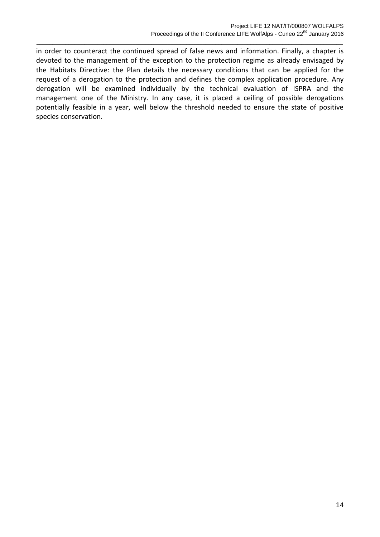in order to counteract the continued spread of false news and information. Finally, a chapter is devoted to the management of the exception to the protection regime as already envisaged by the Habitats Directive: the Plan details the necessary conditions that can be applied for the request of a derogation to the protection and defines the complex application procedure. Any derogation will be examined individually by the technical evaluation of ISPRA and the management one of the Ministry. In any case, it is placed a ceiling of possible derogations potentially feasible in a year, well below the threshold needed to ensure the state of positive species conservation.

 $\_$  ,  $\_$  ,  $\_$  ,  $\_$  ,  $\_$  ,  $\_$  ,  $\_$  ,  $\_$  ,  $\_$  ,  $\_$  ,  $\_$  ,  $\_$  ,  $\_$  ,  $\_$  ,  $\_$  ,  $\_$  ,  $\_$  ,  $\_$  ,  $\_$  ,  $\_$  ,  $\_$  ,  $\_$  ,  $\_$  ,  $\_$  ,  $\_$  ,  $\_$  ,  $\_$  ,  $\_$  ,  $\_$  ,  $\_$  ,  $\_$  ,  $\_$  ,  $\_$  ,  $\_$  ,  $\_$  ,  $\_$  ,  $\_$  ,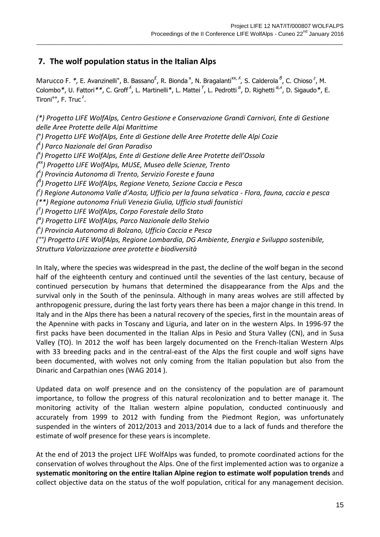# **7. The wolf population status in the Italian Alps**

Marucco F. \*, E. Avanzinelli°, B. Bassano<sup>£</sup>, R. Bionda<sup>x</sup>, N. Bragalanti<sup>xx, *i*</sup>, S. Calderola <sup>8</sup>, C. Chioso<sup>z</sup>, M. Colombo<sup>\*</sup>, U. Fattori<sup>\*\*</sup>, C. Groff<sup>',</sup>, L. Martinelli<sup>\*</sup>, L. Mattei<sup>Y</sup>, L. Pedrotti<sup>α</sup>, D. Righetti<sup>α, α</sup>, D. Sigaudo<sup>\*</sup>, E. Tironi<sup>oo</sup>, F. Truc<sup>2</sup>.

 $\_$  ,  $\_$  ,  $\_$  ,  $\_$  ,  $\_$  ,  $\_$  ,  $\_$  ,  $\_$  ,  $\_$  ,  $\_$  ,  $\_$  ,  $\_$  ,  $\_$  ,  $\_$  ,  $\_$  ,  $\_$  ,  $\_$  ,  $\_$  ,  $\_$  ,  $\_$  ,  $\_$  ,  $\_$  ,  $\_$  ,  $\_$  ,  $\_$  ,  $\_$  ,  $\_$  ,  $\_$  ,  $\_$  ,  $\_$  ,  $\_$  ,  $\_$  ,  $\_$  ,  $\_$  ,  $\_$  ,  $\_$  ,  $\_$  ,

*(\*) Progetto LIFE WolfAlps, Centro Gestione e Conservazione Grandi Carnivori, Ente di Gestione delle Aree Protette delle Alpi Marittime (*°*) Progetto LIFE WolfAlps, Ente di Gestione delle Aree Protette delle Alpi Cozie ( £ ) Parco Nazionale del Gran Paradiso (* x *) Progetto LIFE WolfAlps, Ente di Gestione delle Aree Protette dell'Ossola (* xx*) Progetto LIFE WolfAlps, MUSE, Museo delle Scienze, Trento ( ʎ ) Provincia Autonoma di Trento, Servizio Foreste e fauna ( β ) Progetto LIFE WolfAlps, Regione Veneto, Sezione Caccia e Pesca ( z ) Regione Autonoma Valle d'Aosta, Ufficio per la fauna selvatica - Flora, fauna, caccia e pesca (\*\*) Regione autonoma Friuli Venezia Giulia, Ufficio studi faunistici ( ϒ ) Progetto LIFE WolfAlps, Corpo Forestale dello Stato ( α ) Progetto LIFE WolfAlps, Parco Nazionale dello Stelvio ( ʌ ) Provincia Autonoma di Bolzano, Ufficio Caccia e Pesca (°°) Progetto LIFE WolfAlps, Regione Lombardia, DG Ambiente, Energia e Sviluppo sostenibile, Struttura Valorizzazione aree protette e biodiversità*

In Italy, where the species was widespread in the past, the decline of the wolf began in the second half of the eighteenth century and continued until the seventies of the last century, because of continued persecution by humans that determined the disappearance from the Alps and the survival only in the South of the peninsula. Although in many areas wolves are still affected by anthropogenic pressure, during the last forty years there has been a major change in this trend. In Italy and in the Alps there has been a natural recovery of the species, first in the mountain areas of the Apennine with packs in Toscany and Liguria, and later on in the western Alps. In 1996-97 the first packs have been documented in the Italian Alps in Pesio and Stura Valley (CN), and in Susa Valley (TO). In 2012 the wolf has been largely documented on the French-Italian Western Alps with 33 breeding packs and in the central-east of the Alps the first couple and wolf signs have been documented, with wolves not only coming from the Italian population but also from the Dinaric and Carpathian ones (WAG 2014 ).

Updated data on wolf presence and on the consistency of the population are of paramount importance, to follow the progress of this natural recolonization and to better manage it. The monitoring activity of the Italian western alpine population, conducted continuously and accurately from 1999 to 2012 with funding from the Piedmont Region, was unfortunately suspended in the winters of 2012/2013 and 2013/2014 due to a lack of funds and therefore the estimate of wolf presence for these years is incomplete.

At the end of 2013 the project LIFE WolfAlps was funded, to promote coordinated actions for the conservation of wolves throughout the Alps. One of the first implemented action was to organize a **systematic monitoring on the entire Italian Alpine region to estimate wolf population trends** and collect objective data on the status of the wolf population, critical for any management decision.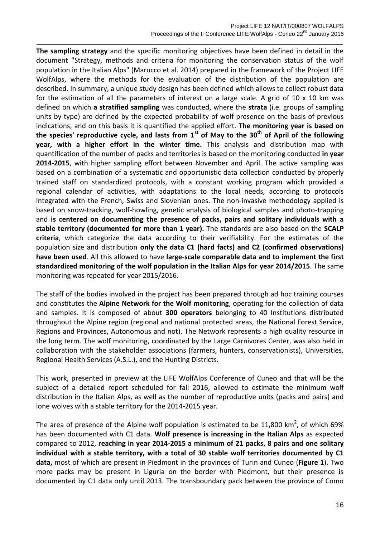**The sampling strategy** and the specific monitoring objectives have been defined in detail in the document "Strategy, methods and criteria for monitoring the conservation status of the wolf population in the Italian Alps" (Marucco et al. 2014) prepared in the framework of the Project LIFE WolfAlps, where the methods for the evaluation of the distribution of the population are described. In summary, a unique study design has been defined which allows to collect robust data for the estimation of all the parameters of interest on a large scale. A grid of  $10 \times 10$  km was defined on which **a stratified sampling** was conducted, where the **strata** (i.e. groups of sampling units by type) are defined by the expected probability of wolf presence on the basis of previous indications, and on this basis it is quantified the applied effort. **The monitoring year is based on the species' reproductive cycle, and lasts from 1st of May to the 30th of April of the following year, with a higher effort in the winter time.** This analysis and distribution map with quantification of the number of packs and territories is based on the monitoring conducted **in year 2014-2015**, with higher sampling effort between November and April. The active sampling was based on a combination of a systematic and opportunistic data collection conducted by properly trained staff on standardized protocols, with a constant working program which provided a regional calendar of activities, with adaptations to the local needs, according to protocols integrated with the French, Swiss and Slovenian ones. The non-invasive methodology applied is based on snow-tracking, wolf-howling, genetic analysis of biological samples and photo-trapping and **is centered on documenting the presence of packs, pairs and solitary individuals with a stable territory (documented for more than 1 year).** The standards are also based on the **SCALP criteria**, which categorize the data according to their verifiability. For the estimates of the population size and distribution **only the data C1 (hard facts) and C2 (confirmed observations) have been used**. All this allowed to have **large-scale comparable data and to implement the first standardized monitoring of the wolf population in the Italian Alps for year 2014/2015**. The same monitoring was repeated for year 2015/2016.

 $\_$  ,  $\_$  ,  $\_$  ,  $\_$  ,  $\_$  ,  $\_$  ,  $\_$  ,  $\_$  ,  $\_$  ,  $\_$  ,  $\_$  ,  $\_$  ,  $\_$  ,  $\_$  ,  $\_$  ,  $\_$  ,  $\_$  ,  $\_$  ,  $\_$  ,  $\_$  ,  $\_$  ,  $\_$  ,  $\_$  ,  $\_$  ,  $\_$  ,  $\_$  ,  $\_$  ,  $\_$  ,  $\_$  ,  $\_$  ,  $\_$  ,  $\_$  ,  $\_$  ,  $\_$  ,  $\_$  ,  $\_$  ,  $\_$  ,

The staff of the bodies involved in the project has been prepared through ad hoc training courses and constitutes the **Alpine Network for the Wolf monitoring**, operating for the collection of data and samples. It is composed of about **300 operators** belonging to 40 Institutions distributed throughout the Alpine region (regional and national protected areas, the National Forest Service, Regions and Provinces, Autonomous and not). The Network represents a high quality resource in the long term. The wolf monitoring, coordinated by the Large Carnivores Center, was also held in collaboration with the stakeholder associations (farmers, hunters, conservationists), Universities, Regional Health Services (A.S.L.), and the Hunting Districts.

This work, presented in preview at the LIFE WolfAlps Conference of Cuneo and that will be the subject of a detailed report scheduled for fall 2016, allowed to estimate the minimum wolf distribution in the Italian Alps, as well as the number of reproductive units (packs and pairs) and lone wolves with a stable territory for the 2014-2015 year.

The area of presence of the Alpine wolf population is estimated to be 11,800 km<sup>2</sup>, of which 69% has been documented with C1 data. **Wolf presence is increasing in the Italian Alps** as expected compared to 2012, **reaching in year 2014-2015 a minimum of 21 packs, 8 pairs and one solitary individual with a stable territory, with a total of 30 stable wolf territories documented by C1 data,** most of which are present in Piedmont in the provinces of Turin and Cuneo (**Figure 1**). Two more packs may be present in Liguria on the border with Piedmont, but their presence is documented by C1 data only until 2013. The transboundary pack between the province of Como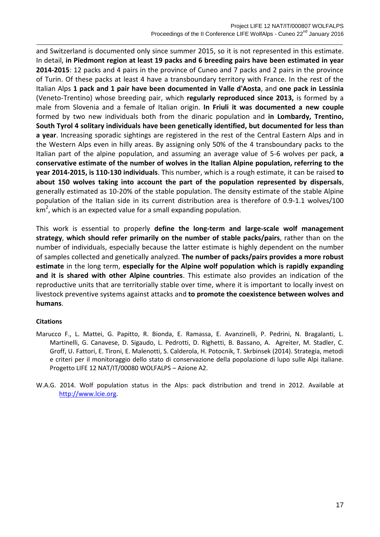and Switzerland is documented only since summer 2015, so it is not represented in this estimate. In detail, **in Piedmont region at least 19 packs and 6 breeding pairs have been estimated in year 2014-2015**: 12 packs and 4 pairs in the province of Cuneo and 7 packs and 2 pairs in the province of Turin. Of these packs at least 4 have a transboundary territory with France. In the rest of the Italian Alps **1 pack and 1 pair have been documented in Valle d'Aosta**, and **one pack in Lessinia**  (Veneto-Trentino) whose breeding pair, which **regularly reproduced since 2013,** is formed by a male from Slovenia and a female of Italian origin. **In Friuli it was documented a new couple** formed by two new individuals both from the dinaric population and **in Lombardy, Trentino, South Tyrol 4 solitary individuals have been genetically identified, but documented for less than a year**. Increasing sporadic sightings are registered in the rest of the Central Eastern Alps and in the Western Alps even in hilly areas. By assigning only 50% of the 4 transboundary packs to the Italian part of the alpine population, and assuming an average value of 5-6 wolves per pack, **a conservative estimate of the number of wolves in the Italian Alpine population, referring to the year 2014-2015, is 110-130 individuals**. This number, which is a rough estimate, it can be raised **to about 150 wolves taking into account the part of the population represented by dispersals**, generally estimated as 10-20% of the stable population. The density estimate of the stable Alpine population of the Italian side in its current distribution area is therefore of 0.9-1.1 wolves/100  $km<sup>2</sup>$ , which is an expected value for a small expanding population.

 $\_$  ,  $\_$  ,  $\_$  ,  $\_$  ,  $\_$  ,  $\_$  ,  $\_$  ,  $\_$  ,  $\_$  ,  $\_$  ,  $\_$  ,  $\_$  ,  $\_$  ,  $\_$  ,  $\_$  ,  $\_$  ,  $\_$  ,  $\_$  ,  $\_$  ,  $\_$  ,  $\_$  ,  $\_$  ,  $\_$  ,  $\_$  ,  $\_$  ,  $\_$  ,  $\_$  ,  $\_$  ,  $\_$  ,  $\_$  ,  $\_$  ,  $\_$  ,  $\_$  ,  $\_$  ,  $\_$  ,  $\_$  ,  $\_$  ,

This work is essential to properly **define the long-term and large-scale wolf management strategy**, **which should refer primarily on the number of stable packs/pairs**, rather than on the number of individuals, especially because the latter estimate is highly dependent on the number of samples collected and genetically analyzed. **The number of packs/pairs provides a more robust estimate** in the long term, **especially for the Alpine wolf population which is rapidly expanding and it is shared with other Alpine countries**. This estimate also provides an indication of the reproductive units that are territorially stable over time, where it is important to locally invest on livestock preventive systems against attacks and **to promote the coexistence between wolves and humans**.

#### **Citations**

- Marucco F., L. Mattei, G. Papitto, R. Bionda, E. Ramassa, E. Avanzinelli, P. Pedrini, N. Bragalanti, L. Martinelli, G. Canavese, D. Sigaudo, L. Pedrotti, D. Righetti, B. Bassano, A. Agreiter, M. Stadler, C. Groff, U. Fattori, E. Tironi, E. Malenotti, S. Calderola, H. Potocnik, T. Skrbinsek (2014). Strategia, metodi e criteri per il monitoraggio dello stato di conservazione della popolazione di lupo sulle Alpi italiane. Progetto LIFE 12 NAT/IT/00080 WOLFALPS – Azione A2.
- W.A.G. 2014. Wolf population status in the Alps: pack distribution and trend in 2012. Available at [http://www.lcie.org.](http://www.lcie.org/)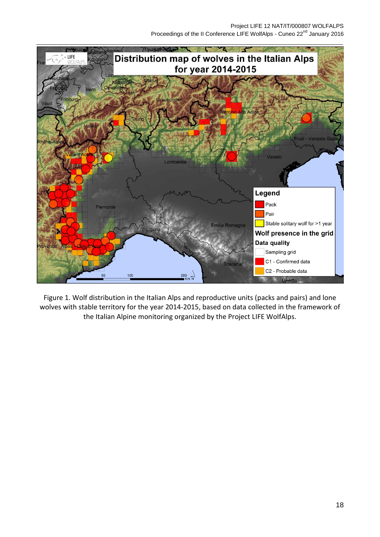

Figure 1. Wolf distribution in the Italian Alps and reproductive units (packs and pairs) and lone wolves with stable territory for the year 2014-2015, based on data collected in the framework of the Italian Alpine monitoring organized by the Project LIFE WolfAlps.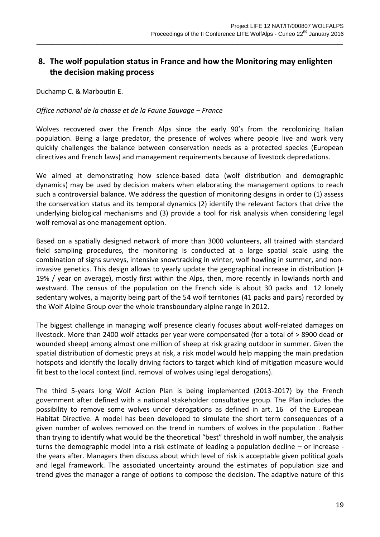# **8. The wolf population status in France and how the Monitoring may enlighten the decision making process**

 $\_$  ,  $\_$  ,  $\_$  ,  $\_$  ,  $\_$  ,  $\_$  ,  $\_$  ,  $\_$  ,  $\_$  ,  $\_$  ,  $\_$  ,  $\_$  ,  $\_$  ,  $\_$  ,  $\_$  ,  $\_$  ,  $\_$  ,  $\_$  ,  $\_$  ,  $\_$  ,  $\_$  ,  $\_$  ,  $\_$  ,  $\_$  ,  $\_$  ,  $\_$  ,  $\_$  ,  $\_$  ,  $\_$  ,  $\_$  ,  $\_$  ,  $\_$  ,  $\_$  ,  $\_$  ,  $\_$  ,  $\_$  ,  $\_$  ,

Duchamp C. & Marboutin E.

#### *Office national de la chasse et de la Faune Sauvage – France*

Wolves recovered over the French Alps since the early 90's from the recolonizing Italian population. Being a large predator, the presence of wolves where people live and work very quickly challenges the balance between conservation needs as a protected species (European directives and French laws) and management requirements because of livestock depredations.

We aimed at demonstrating how science-based data (wolf distribution and demographic dynamics) may be used by decision makers when elaborating the management options to reach such a controversial balance. We address the question of monitoring designs in order to (1) assess the conservation status and its temporal dynamics (2) identify the relevant factors that drive the underlying biological mechanisms and (3) provide a tool for risk analysis when considering legal wolf removal as one management option.

Based on a spatially designed network of more than 3000 volunteers, all trained with standard field sampling procedures, the monitoring is conducted at a large spatial scale using the combination of signs surveys, intensive snowtracking in winter, wolf howling in summer, and noninvasive genetics. This design allows to yearly update the geographical increase in distribution (+ 19% / year on average), mostly first within the Alps, then, more recently in lowlands north and westward. The census of the population on the French side is about 30 packs and 12 lonely sedentary wolves, a majority being part of the 54 wolf territories (41 packs and pairs) recorded by the Wolf Alpine Group over the whole transboundary alpine range in 2012.

The biggest challenge in managing wolf presence clearly focuses about wolf-related damages on livestock. More than 2400 wolf attacks per year were compensated (for a total of > 8900 dead or wounded sheep) among almost one million of sheep at risk grazing outdoor in summer. Given the spatial distribution of domestic preys at risk, a risk model would help mapping the main predation hotspots and identify the locally driving factors to target which kind of mitigation measure would fit best to the local context (incl. removal of wolves using legal derogations).

The third 5-years long Wolf Action Plan is being implemented (2013-2017) by the French government after defined with a national stakeholder consultative group. The Plan includes the possibility to remove some wolves under derogations as defined in art. 16 of the European Habitat Directive. A model has been developed to simulate the short term consequences of a given number of wolves removed on the trend in numbers of wolves in the population . Rather than trying to identify what would be the theoretical "best" threshold in wolf number, the analysis turns the demographic model into a risk estimate of leading a population decline – or increase the years after. Managers then discuss about which level of risk is acceptable given political goals and legal framework. The associated uncertainty around the estimates of population size and trend gives the manager a range of options to compose the decision. The adaptive nature of this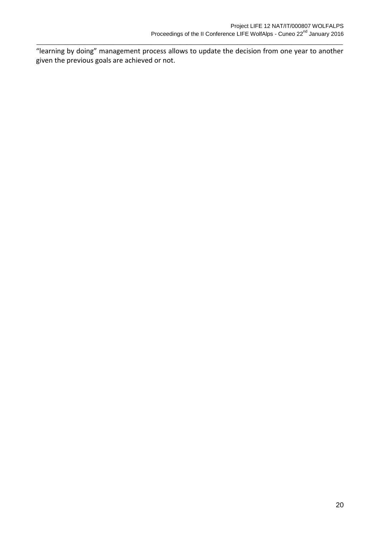"learning by doing" management process allows to update the decision from one year to another given the previous goals are achieved or not.

 $\_$  ,  $\_$  ,  $\_$  ,  $\_$  ,  $\_$  ,  $\_$  ,  $\_$  ,  $\_$  ,  $\_$  ,  $\_$  ,  $\_$  ,  $\_$  ,  $\_$  ,  $\_$  ,  $\_$  ,  $\_$  ,  $\_$  ,  $\_$  ,  $\_$  ,  $\_$  ,  $\_$  ,  $\_$  ,  $\_$  ,  $\_$  ,  $\_$  ,  $\_$  ,  $\_$  ,  $\_$  ,  $\_$  ,  $\_$  ,  $\_$  ,  $\_$  ,  $\_$  ,  $\_$  ,  $\_$  ,  $\_$  ,  $\_$  ,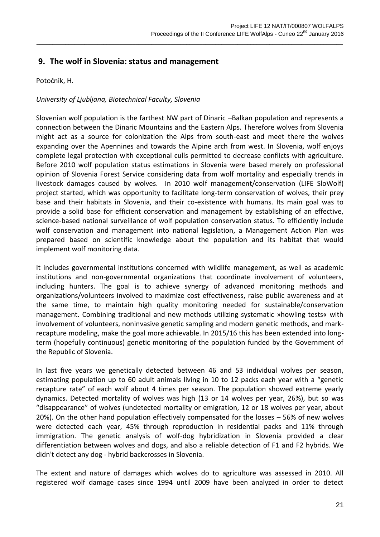### **9. The wolf in Slovenia: status and management**

Potočnik, H.

### *University of Ljubljana, Biotechnical Faculty, Slovenia*

Slovenian wolf population is the farthest NW part of Dinaric –Balkan population and represents a connection between the Dinaric Mountains and the Eastern Alps. Therefore wolves from Slovenia might act as a source for colonization the Alps from south-east and meet there the wolves expanding over the Apennines and towards the Alpine arch from west. In Slovenia, wolf enjoys complete legal protection with exceptional culls permitted to decrease conflicts with agriculture. Before 2010 wolf population status estimations in Slovenia were based merely on professional opinion of Slovenia Forest Service considering data from wolf mortality and especially trends in livestock damages caused by wolves. In 2010 wolf management/conservation (LIFE SloWolf) project started, which was opportunity to facilitate long-term conservation of wolves, their prey base and their habitats in Slovenia, and their co-existence with humans. Its main goal was to provide a solid base for efficient conservation and management by establishing of an effective, science-based national surveillance of wolf population conservation status. To efficiently include wolf conservation and management into national legislation, a Management Action Plan was prepared based on scientific knowledge about the population and its habitat that would implement wolf monitoring data.

 $\_$  ,  $\_$  ,  $\_$  ,  $\_$  ,  $\_$  ,  $\_$  ,  $\_$  ,  $\_$  ,  $\_$  ,  $\_$  ,  $\_$  ,  $\_$  ,  $\_$  ,  $\_$  ,  $\_$  ,  $\_$  ,  $\_$  ,  $\_$  ,  $\_$  ,  $\_$  ,  $\_$  ,  $\_$  ,  $\_$  ,  $\_$  ,  $\_$  ,  $\_$  ,  $\_$  ,  $\_$  ,  $\_$  ,  $\_$  ,  $\_$  ,  $\_$  ,  $\_$  ,  $\_$  ,  $\_$  ,  $\_$  ,  $\_$  ,

It includes governmental institutions concerned with wildlife management, as well as academic institutions and non-governmental organizations that coordinate involvement of volunteers, including hunters. The goal is to achieve synergy of advanced monitoring methods and organizations/volunteers involved to maximize cost effectiveness, raise public awareness and at the same time, to maintain high quality monitoring needed for sustainable/conservation management. Combining traditional and new methods utilizing systematic »howling tests« with involvement of volunteers, noninvasive genetic sampling and modern genetic methods, and markrecapture modeling, make the goal more achievable. In 2015/16 this has been extended into longterm (hopefully continuous) genetic monitoring of the population funded by the Government of the Republic of Slovenia.

In last five years we genetically detected between 46 and 53 individual wolves per season, estimating population up to 60 adult animals living in 10 to 12 packs each year with a "genetic recapture rate" of each wolf about 4 times per season. The population showed extreme yearly dynamics. Detected mortality of wolves was high (13 or 14 wolves per year, 26%), but so was "disappearance" of wolves (undetected mortality or emigration, 12 or 18 wolves per year, about 20%). On the other hand population effectively compensated for the losses – 56% of new wolves were detected each year, 45% through reproduction in residential packs and 11% through immigration. The genetic analysis of wolf-dog hybridization in Slovenia provided a clear differentiation between wolves and dogs, and also a reliable detection of F1 and F2 hybrids. We didn't detect any dog - hybrid backcrosses in Slovenia.

The extent and nature of damages which wolves do to agriculture was assessed in 2010. All registered wolf damage cases since 1994 until 2009 have been analyzed in order to detect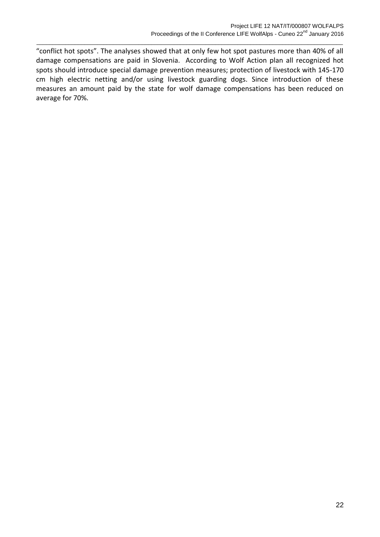"conflict hot spots". The analyses showed that at only few hot spot pastures more than 40% of all damage compensations are paid in Slovenia. According to Wolf Action plan all recognized hot spots should introduce special damage prevention measures; protection of livestock with 145-170 cm high electric netting and/or using livestock guarding dogs. Since introduction of these measures an amount paid by the state for wolf damage compensations has been reduced on average for 70%.

 $\_$  ,  $\_$  ,  $\_$  ,  $\_$  ,  $\_$  ,  $\_$  ,  $\_$  ,  $\_$  ,  $\_$  ,  $\_$  ,  $\_$  ,  $\_$  ,  $\_$  ,  $\_$  ,  $\_$  ,  $\_$  ,  $\_$  ,  $\_$  ,  $\_$  ,  $\_$  ,  $\_$  ,  $\_$  ,  $\_$  ,  $\_$  ,  $\_$  ,  $\_$  ,  $\_$  ,  $\_$  ,  $\_$  ,  $\_$  ,  $\_$  ,  $\_$  ,  $\_$  ,  $\_$  ,  $\_$  ,  $\_$  ,  $\_$  ,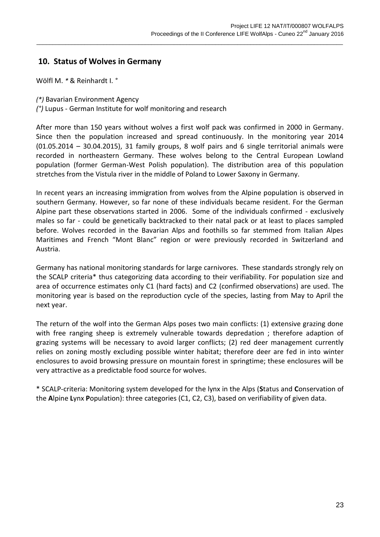### **10. Status of Wolves in Germany**

Wölfl M. *\** & Reinhardt I. *°*

*(\*)* Bavarian Environment Agency

*(°)* Lupus - German Institute for wolf monitoring and research

After more than 150 years without wolves a first wolf pack was confirmed in 2000 in Germany. Since then the population increased and spread continuously. In the monitoring year 2014 (01.05.2014 – 30.04.2015), 31 family groups, 8 wolf pairs and 6 single territorial animals were recorded in northeastern Germany. These wolves belong to the Central European Lowland population (former German-West Polish population). The distribution area of this population stretches from the Vistula river in the middle of Poland to Lower Saxony in Germany.

 $\_$  ,  $\_$  ,  $\_$  ,  $\_$  ,  $\_$  ,  $\_$  ,  $\_$  ,  $\_$  ,  $\_$  ,  $\_$  ,  $\_$  ,  $\_$  ,  $\_$  ,  $\_$  ,  $\_$  ,  $\_$  ,  $\_$  ,  $\_$  ,  $\_$  ,  $\_$  ,  $\_$  ,  $\_$  ,  $\_$  ,  $\_$  ,  $\_$  ,  $\_$  ,  $\_$  ,  $\_$  ,  $\_$  ,  $\_$  ,  $\_$  ,  $\_$  ,  $\_$  ,  $\_$  ,  $\_$  ,  $\_$  ,  $\_$  ,

In recent years an increasing immigration from wolves from the Alpine population is observed in southern Germany. However, so far none of these individuals became resident. For the German Alpine part these observations started in 2006. Some of the individuals confirmed - exclusively males so far - could be genetically backtracked to their natal pack or at least to places sampled before. Wolves recorded in the Bavarian Alps and foothills so far stemmed from Italian Alpes Maritimes and French "Mont Blanc" region or were previously recorded in Switzerland and Austria.

Germany has national monitoring standards for large carnivores. These standards strongly rely on the SCALP criteria\* thus categorizing data according to their verifiability. For population size and area of occurrence estimates only C1 (hard facts) and C2 (confirmed observations) are used. The monitoring year is based on the reproduction cycle of the species, lasting from May to April the next year.

The return of the wolf into the German Alps poses two main conflicts: (1) extensive grazing done with free ranging sheep is extremely vulnerable towards depredation ; therefore adaption of grazing systems will be necessary to avoid larger conflicts; (2) red deer management currently relies on zoning mostly excluding possible winter habitat; therefore deer are fed in into winter enclosures to avoid browsing pressure on mountain forest in springtime; these enclosures will be very attractive as a predictable food source for wolves.

\* SCALP-criteria: Monitoring system developed for the lynx in the Alps (**S**tatus and **C**onservation of the **A**lpine **L**ynx **P**opulation): three categories (C1, C2, C3), based on verifiability of given data.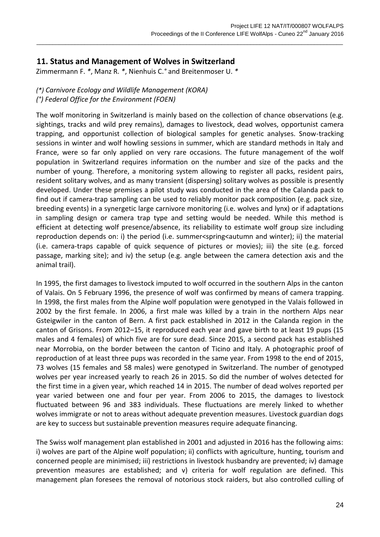### **11. Status and Management of Wolves in Switzerland**

Zimmermann F. *\**, Manz R. *\**, Nienhuis C.*°* and Breitenmoser U. *\**

### *(\*) Carnivore Ecology and Wildlife Management (KORA) (°) Federal Office for the Environment (FOEN)*

The wolf monitoring in Switzerland is mainly based on the collection of chance observations (e.g. sightings, tracks and wild prey remains), damages to livestock, dead wolves, opportunist camera trapping, and opportunist collection of biological samples for genetic analyses. Snow-tracking sessions in winter and wolf howling sessions in summer, which are standard methods in Italy and France, were so far only applied on very rare occasions. The future management of the wolf population in Switzerland requires information on the number and size of the packs and the number of young. Therefore, a monitoring system allowing to register all packs, resident pairs, resident solitary wolves, and as many transient (dispersing) solitary wolves as possible is presently developed. Under these premises a pilot study was conducted in the area of the Calanda pack to find out if camera-trap sampling can be used to reliably monitor pack composition (e.g. pack size, breeding events) in a synergetic large carnivore monitoring (i.e. wolves and lynx) or if adaptations in sampling design or camera trap type and setting would be needed. While this method is efficient at detecting wolf presence/absence, its reliability to estimate wolf group size including reproduction depends on: i) the period (i.e. summer<spring<autumn and winter); ii) the material (i.e. camera-traps capable of quick sequence of pictures or movies); iii) the site (e.g. forced passage, marking site); and iv) the setup (e.g. angle between the camera detection axis and the animal trail).

 $\_$  ,  $\_$  ,  $\_$  ,  $\_$  ,  $\_$  ,  $\_$  ,  $\_$  ,  $\_$  ,  $\_$  ,  $\_$  ,  $\_$  ,  $\_$  ,  $\_$  ,  $\_$  ,  $\_$  ,  $\_$  ,  $\_$  ,  $\_$  ,  $\_$  ,  $\_$  ,  $\_$  ,  $\_$  ,  $\_$  ,  $\_$  ,  $\_$  ,  $\_$  ,  $\_$  ,  $\_$  ,  $\_$  ,  $\_$  ,  $\_$  ,  $\_$  ,  $\_$  ,  $\_$  ,  $\_$  ,  $\_$  ,  $\_$  ,

In 1995, the first damages to livestock imputed to wolf occurred in the southern Alps in the canton of Valais. On 5 February 1996, the presence of wolf was confirmed by means of camera trapping. In 1998, the first males from the Alpine wolf population were genotyped in the Valais followed in 2002 by the first female. In 2006, a first male was killed by a train in the northern Alps near Gsteigwiler in the canton of Bern. A first pack established in 2012 in the Calanda region in the canton of Grisons. From 2012–15, it reproduced each year and gave birth to at least 19 pups (15 males and 4 females) of which five are for sure dead. Since 2015, a second pack has established near Morrobia, on the border between the canton of Ticino and Italy. A photographic proof of reproduction of at least three pups was recorded in the same year. From 1998 to the end of 2015, 73 wolves (15 females and 58 males) were genotyped in Switzerland. The number of genotyped wolves per year increased yearly to reach 26 in 2015. So did the number of wolves detected for the first time in a given year, which reached 14 in 2015. The number of dead wolves reported per year varied between one and four per year. From 2006 to 2015, the damages to livestock fluctuated between 96 and 383 individuals. These fluctuations are merely linked to whether wolves immigrate or not to areas without adequate prevention measures. Livestock guardian dogs are key to success but sustainable prevention measures require adequate financing.

The Swiss wolf management plan established in 2001 and adjusted in 2016 has the following aims: i) wolves are part of the Alpine wolf population; ii) conflicts with agriculture, hunting, tourism and concerned people are minimised; iii) restrictions in livestock husbandry are prevented; iv) damage prevention measures are established; and v) criteria for wolf regulation are defined. This management plan foresees the removal of notorious stock raiders, but also controlled culling of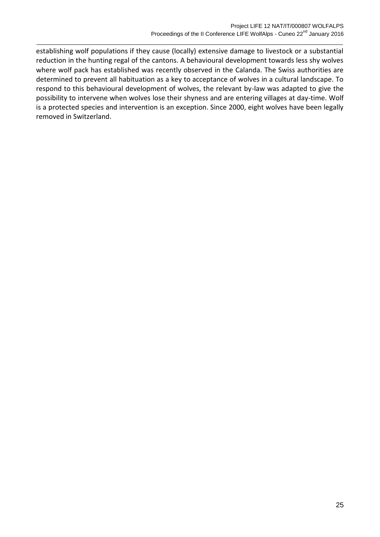establishing wolf populations if they cause (locally) extensive damage to livestock or a substantial reduction in the hunting regal of the cantons. A behavioural development towards less shy wolves where wolf pack has established was recently observed in the Calanda. The Swiss authorities are determined to prevent all habituation as a key to acceptance of wolves in a cultural landscape. To respond to this behavioural development of wolves, the relevant by-law was adapted to give the possibility to intervene when wolves lose their shyness and are entering villages at day-time. Wolf is a protected species and intervention is an exception. Since 2000, eight wolves have been legally removed in Switzerland.

 $\_$  ,  $\_$  ,  $\_$  ,  $\_$  ,  $\_$  ,  $\_$  ,  $\_$  ,  $\_$  ,  $\_$  ,  $\_$  ,  $\_$  ,  $\_$  ,  $\_$  ,  $\_$  ,  $\_$  ,  $\_$  ,  $\_$  ,  $\_$  ,  $\_$  ,  $\_$  ,  $\_$  ,  $\_$  ,  $\_$  ,  $\_$  ,  $\_$  ,  $\_$  ,  $\_$  ,  $\_$  ,  $\_$  ,  $\_$  ,  $\_$  ,  $\_$  ,  $\_$  ,  $\_$  ,  $\_$  ,  $\_$  ,  $\_$  ,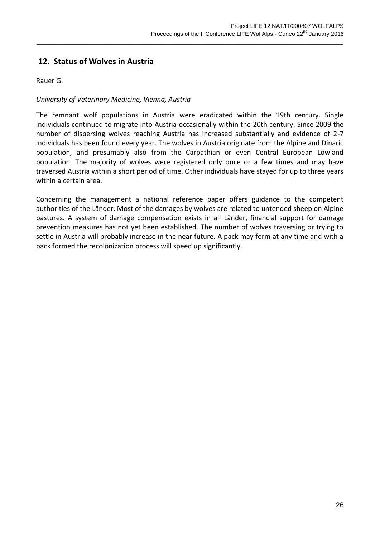### **12. Status of Wolves in Austria**

Rauer G.

### *University of Veterinary Medicine, Vienna, Austria*

The remnant wolf populations in Austria were eradicated within the 19th century. Single individuals continued to migrate into Austria occasionally within the 20th century. Since 2009 the number of dispersing wolves reaching Austria has increased substantially and evidence of 2-7 individuals has been found every year. The wolves in Austria originate from the Alpine and Dinaric population, and presumably also from the Carpathian or even Central European Lowland population. The majority of wolves were registered only once or a few times and may have traversed Austria within a short period of time. Other individuals have stayed for up to three years within a certain area.

 $\_$  ,  $\_$  ,  $\_$  ,  $\_$  ,  $\_$  ,  $\_$  ,  $\_$  ,  $\_$  ,  $\_$  ,  $\_$  ,  $\_$  ,  $\_$  ,  $\_$  ,  $\_$  ,  $\_$  ,  $\_$  ,  $\_$  ,  $\_$  ,  $\_$  ,  $\_$  ,  $\_$  ,  $\_$  ,  $\_$  ,  $\_$  ,  $\_$  ,  $\_$  ,  $\_$  ,  $\_$  ,  $\_$  ,  $\_$  ,  $\_$  ,  $\_$  ,  $\_$  ,  $\_$  ,  $\_$  ,  $\_$  ,  $\_$  ,

Concerning the management a national reference paper offers guidance to the competent authorities of the Länder. Most of the damages by wolves are related to untended sheep on Alpine pastures. A system of damage compensation exists in all Länder, financial support for damage prevention measures has not yet been established. The number of wolves traversing or trying to settle in Austria will probably increase in the near future. A pack may form at any time and with a pack formed the recolonization process will speed up significantly.